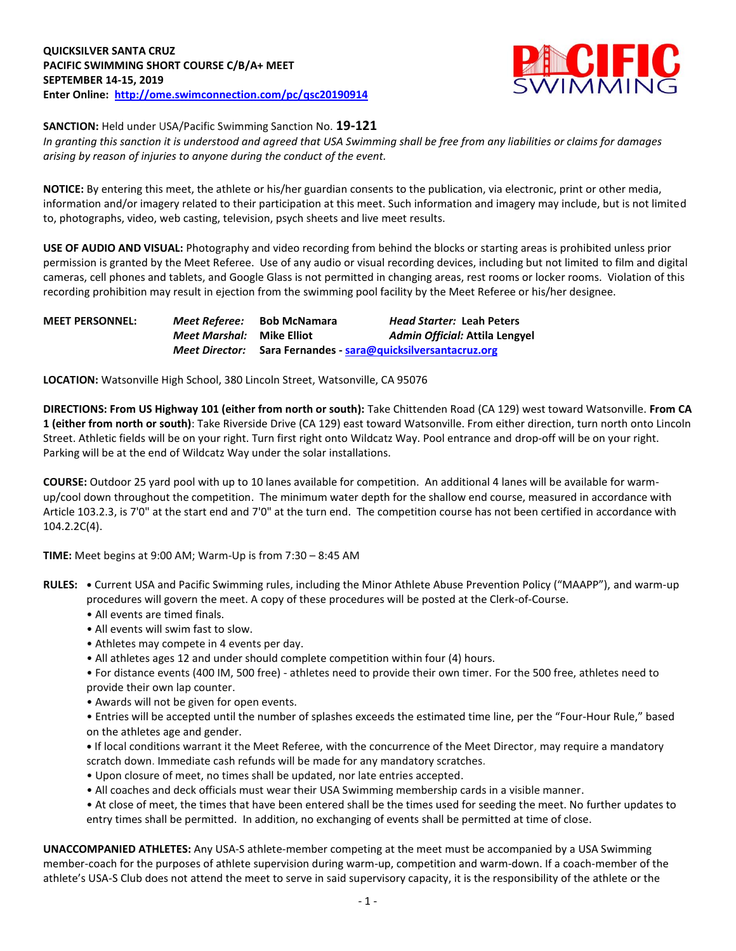

**SANCTION:** Held under USA/Pacific Swimming Sanction No. **19-121**

*In granting this sanction it is understood and agreed that USA Swimming shall be free from any liabilities or claims for damages arising by reason of injuries to anyone during the conduct of the event.* 

**NOTICE:** By entering this meet, the athlete or his/her guardian consents to the publication, via electronic, print or other media, information and/or imagery related to their participation at this meet. Such information and imagery may include, but is not limited to, photographs, video, web casting, television, psych sheets and live meet results.

**USE OF AUDIO AND VISUAL:** Photography and video recording from behind the blocks or starting areas is prohibited unless prior permission is granted by the Meet Referee. Use of any audio or visual recording devices, including but not limited to film and digital cameras, cell phones and tablets, and Google Glass is not permitted in changing areas, rest rooms or locker rooms. Violation of this recording prohibition may result in ejection from the swimming pool facility by the Meet Referee or his/her designee.

| <b>MEET PERSONNEL:</b> |                                  | <i>Meet Referee:</i> Bob McNamara                             | <b>Head Starter: Leah Peters</b> |
|------------------------|----------------------------------|---------------------------------------------------------------|----------------------------------|
|                        | <i>Meet Marshal:</i> Mike Elliot |                                                               | Admin Official: Attila Lengyel   |
|                        |                                  | Meet Director: Sara Fernandes - sara@quicksilversantacruz.org |                                  |

**LOCATION:** Watsonville High School, 380 Lincoln Street, Watsonville, CA 95076

**DIRECTIONS: From US Highway 101 (either from north or south):** Take Chittenden Road (CA 129) west toward Watsonville. **From CA 1 (either from north or south)**: Take Riverside Drive (CA 129) east toward Watsonville. From either direction, turn north onto Lincoln Street. Athletic fields will be on your right. Turn first right onto Wildcatz Way. Pool entrance and drop-off will be on your right. Parking will be at the end of Wildcatz Way under the solar installations.

**COURSE:** Outdoor 25 yard pool with up to 10 lanes available for competition.An additional 4 lanes will be available for warmup/cool down throughout the competition. The minimum water depth for the shallow end course, measured in accordance with Article 103.2.3, is 7'0" at the start end and 7'0" at the turn end. The competition course has not been certified in accordance with 104.2.2C(4).

**TIME:** Meet begins at 9:00 AM; Warm-Up is from 7:30 – 8:45 AM

- **RULES: •** Current USA and Pacific Swimming rules, including the Minor Athlete Abuse Prevention Policy ("MAAPP"), and warm-up procedures will govern the meet. A copy of these procedures will be posted at the Clerk-of-Course.
	- All events are timed finals.
	- All events will swim fast to slow.
	- Athletes may compete in 4 events per day.
	- All athletes ages 12 and under should complete competition within four (4) hours.
	- For distance events (400 IM, 500 free) athletes need to provide their own timer. For the 500 free, athletes need to provide their own lap counter.
	- Awards will not be given for open events.
	- Entries will be accepted until the number of splashes exceeds the estimated time line, per the "Four-Hour Rule," based on the athletes age and gender.
	- **•** If local conditions warrant it the Meet Referee, with the concurrence of the Meet Director, may require a mandatory scratch down. Immediate cash refunds will be made for any mandatory scratches.
	- Upon closure of meet, no times shall be updated, nor late entries accepted.
	- All coaches and deck officials must wear their USA Swimming membership cards in a visible manner.
	- At close of meet, the times that have been entered shall be the times used for seeding the meet. No further updates to entry times shall be permitted. In addition, no exchanging of events shall be permitted at time of close.

**UNACCOMPANIED ATHLETES:** Any USA-S athlete-member competing at the meet must be accompanied by a USA Swimming member-coach for the purposes of athlete supervision during warm-up, competition and warm-down. If a coach-member of the athlete's USA-S Club does not attend the meet to serve in said supervisory capacity, it is the responsibility of the athlete or the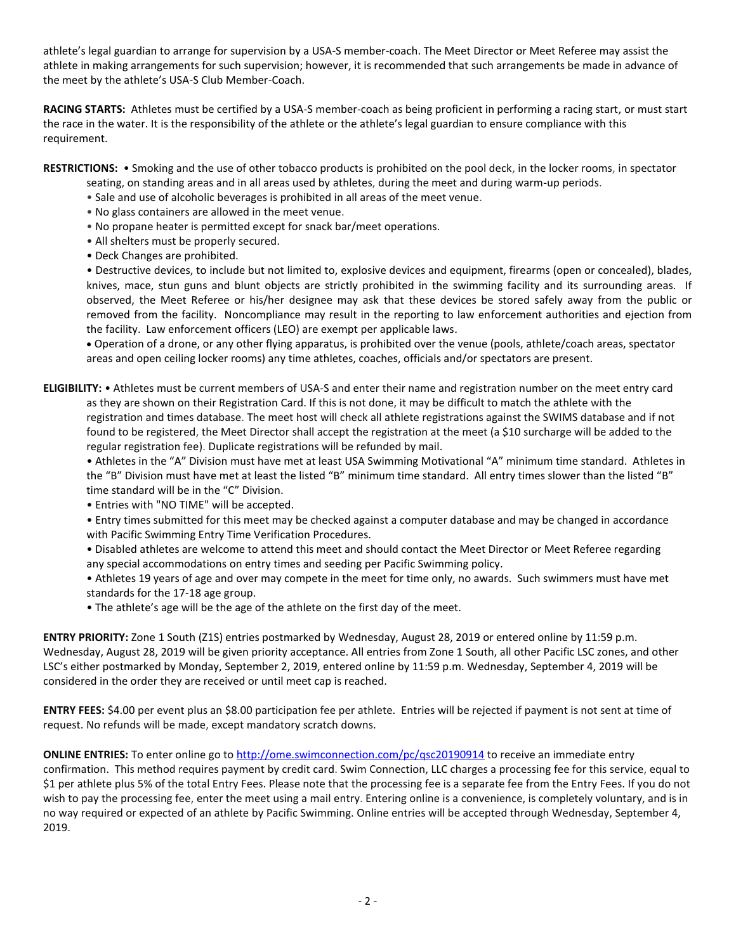athlete's legal guardian to arrange for supervision by a USA-S member-coach. The Meet Director or Meet Referee may assist the athlete in making arrangements for such supervision; however, it is recommended that such arrangements be made in advance of the meet by the athlete's USA-S Club Member-Coach.

**RACING STARTS:** Athletes must be certified by a USA-S member-coach as being proficient in performing a racing start, or must start the race in the water. It is the responsibility of the athlete or the athlete's legal guardian to ensure compliance with this requirement.

**RESTRICTIONS:** • Smoking and the use of other tobacco products is prohibited on the pool deck, in the locker rooms, in spectator

- seating, on standing areas and in all areas used by athletes, during the meet and during warm-up periods.
- Sale and use of alcoholic beverages is prohibited in all areas of the meet venue.
- No glass containers are allowed in the meet venue.
- No propane heater is permitted except for snack bar/meet operations.
- All shelters must be properly secured.
- Deck Changes are prohibited.

• Destructive devices, to include but not limited to, explosive devices and equipment, firearms (open or concealed), blades, knives, mace, stun guns and blunt objects are strictly prohibited in the swimming facility and its surrounding areas. If observed, the Meet Referee or his/her designee may ask that these devices be stored safely away from the public or removed from the facility. Noncompliance may result in the reporting to law enforcement authorities and ejection from the facility. Law enforcement officers (LEO) are exempt per applicable laws.

 Operation of a drone, or any other flying apparatus, is prohibited over the venue (pools, athlete/coach areas, spectator areas and open ceiling locker rooms) any time athletes, coaches, officials and/or spectators are present.

**ELIGIBILITY:** • Athletes must be current members of USA-S and enter their name and registration number on the meet entry card as they are shown on their Registration Card. If this is not done, it may be difficult to match the athlete with the registration and times database. The meet host will check all athlete registrations against the SWIMS database and if not found to be registered, the Meet Director shall accept the registration at the meet (a \$10 surcharge will be added to the regular registration fee). Duplicate registrations will be refunded by mail.

• Athletes in the "A" Division must have met at least USA Swimming Motivational "A" minimum time standard. Athletes in the "B" Division must have met at least the listed "B" minimum time standard. All entry times slower than the listed "B" time standard will be in the "C" Division.

- Entries with "NO TIME" will be accepted.
- Entry times submitted for this meet may be checked against a computer database and may be changed in accordance with Pacific Swimming Entry Time Verification Procedures.

• Disabled athletes are welcome to attend this meet and should contact the Meet Director or Meet Referee regarding any special accommodations on entry times and seeding per Pacific Swimming policy.

• Athletes 19 years of age and over may compete in the meet for time only, no awards. Such swimmers must have met standards for the 17-18 age group.

• The athlete's age will be the age of the athlete on the first day of the meet.

**ENTRY PRIORITY:** Zone 1 South (Z1S) entries postmarked by Wednesday, August 28, 2019 or entered online by 11:59 p.m. Wednesday, August 28, 2019 will be given priority acceptance. All entries from Zone 1 South, all other Pacific LSC zones, and other LSC's either postmarked by Monday, September 2, 2019, entered online by 11:59 p.m. Wednesday, September 4, 2019 will be considered in the order they are received or until meet cap is reached.

**ENTRY FEES:** \$4.00 per event plus an \$8.00 participation fee per athlete. Entries will be rejected if payment is not sent at time of request. No refunds will be made, except mandatory scratch downs.

**ONLINE ENTRIES:** To enter online go t[o http://ome.swimconnection.com/pc/qsc20190914](http://ome.swimconnection.com/pc/qsc20190914) to receive an immediate entry confirmation. This method requires payment by credit card. Swim Connection, LLC charges a processing fee for this service, equal to \$1 per athlete plus 5% of the total Entry Fees. Please note that the processing fee is a separate fee from the Entry Fees. If you do not wish to pay the processing fee, enter the meet using a mail entry. Entering online is a convenience, is completely voluntary, and is in no way required or expected of an athlete by Pacific Swimming. Online entries will be accepted through Wednesday, September 4, 2019.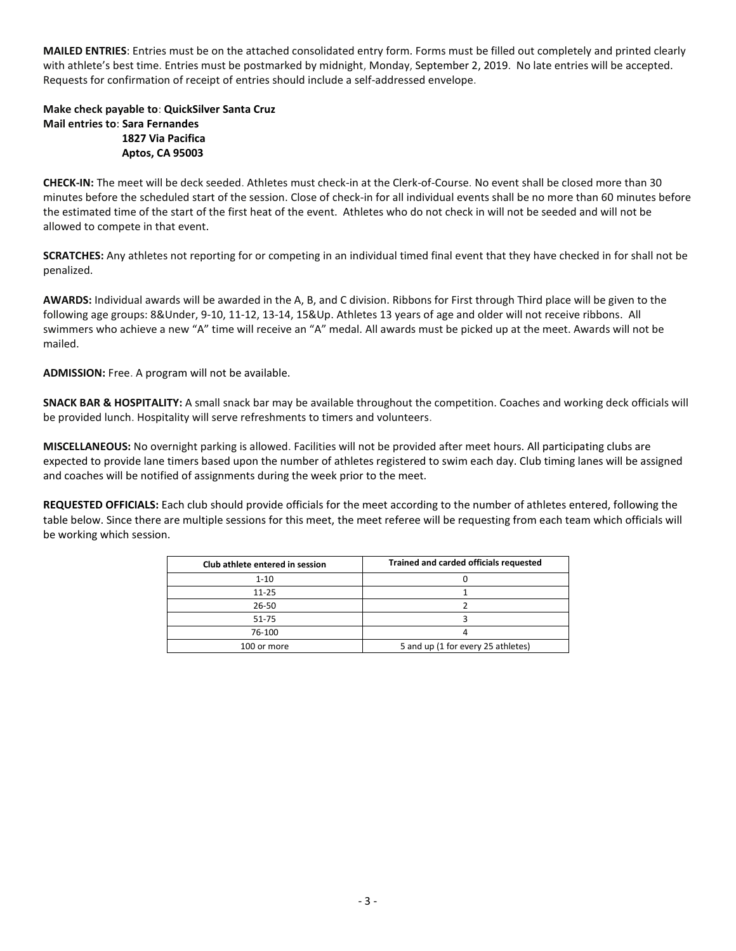**MAILED ENTRIES**: Entries must be on the attached consolidated entry form. Forms must be filled out completely and printed clearly with athlete's best time. Entries must be postmarked by midnight, Monday, September 2, 2019. No late entries will be accepted. Requests for confirmation of receipt of entries should include a self-addressed envelope.

## **Make check payable to**: **QuickSilver Santa Cruz Mail entries to**: **Sara Fernandes 1827 Via Pacifica Aptos, CA 95003**

**CHECK-IN:** The meet will be deck seeded. Athletes must check-in at the Clerk-of-Course. No event shall be closed more than 30 minutes before the scheduled start of the session. Close of check-in for all individual events shall be no more than 60 minutes before the estimated time of the start of the first heat of the event. Athletes who do not check in will not be seeded and will not be allowed to compete in that event.

**SCRATCHES:** Any athletes not reporting for or competing in an individual timed final event that they have checked in for shall not be penalized.

**AWARDS:** Individual awards will be awarded in the A, B, and C division. Ribbons for First through Third place will be given to the following age groups: 8&Under, 9-10, 11-12, 13-14, 15&Up. Athletes 13 years of age and older will not receive ribbons. All swimmers who achieve a new "A" time will receive an "A" medal. All awards must be picked up at the meet. Awards will not be mailed.

**ADMISSION:** Free. A program will not be available.

**SNACK BAR & HOSPITALITY:** A small snack bar may be available throughout the competition. Coaches and working deck officials will be provided lunch. Hospitality will serve refreshments to timers and volunteers.

**MISCELLANEOUS:** No overnight parking is allowed. Facilities will not be provided after meet hours. All participating clubs are expected to provide lane timers based upon the number of athletes registered to swim each day. Club timing lanes will be assigned and coaches will be notified of assignments during the week prior to the meet.

**REQUESTED OFFICIALS:** Each club should provide officials for the meet according to the number of athletes entered, following the table below. Since there are multiple sessions for this meet, the meet referee will be requesting from each team which officials will be working which session.

| Club athlete entered in session | Trained and carded officials requested |  |  |  |  |  |
|---------------------------------|----------------------------------------|--|--|--|--|--|
| $1 - 10$                        |                                        |  |  |  |  |  |
| $11 - 25$                       |                                        |  |  |  |  |  |
| 26-50                           |                                        |  |  |  |  |  |
| 51-75                           |                                        |  |  |  |  |  |
| 76-100                          |                                        |  |  |  |  |  |
| 100 or more                     | 5 and up (1 for every 25 athletes)     |  |  |  |  |  |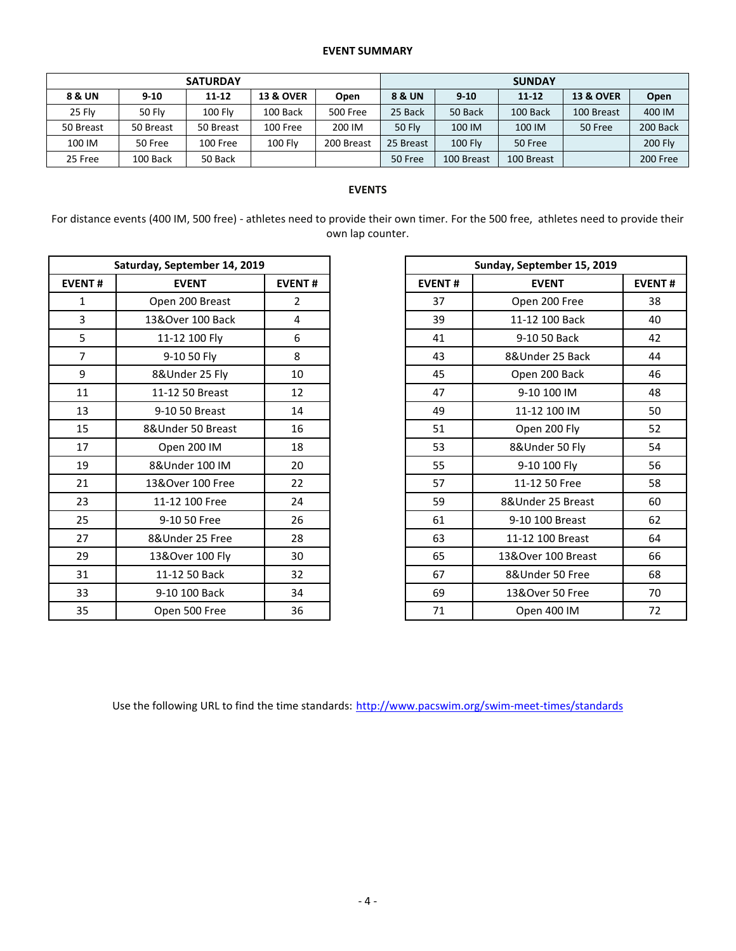## **EVENT SUMMARY**

| <b>SATURDAY</b> |               |                |                      |            | <b>SUNDAY</b> |                |            |                      |                |  |
|-----------------|---------------|----------------|----------------------|------------|---------------|----------------|------------|----------------------|----------------|--|
| 8 & UN          | $9 - 10$      | $11 - 12$      | <b>13 &amp; OVER</b> | Open       | 8 & UN        | $9 - 10$       | $11 - 12$  | <b>13 &amp; OVER</b> | Open           |  |
| 25 Flv          | <b>50 Flv</b> | <b>100 Flv</b> | 100 Back             | 500 Free   | 25 Back       | 50 Back        | 100 Back   | 100 Breast           | 400 IM         |  |
| 50 Breast       | 50 Breast     | 50 Breast      | 100 Free             | 200 IM     | <b>50 Flv</b> | 100 IM         | 100 IM     | 50 Free              | 200 Back       |  |
| 100 IM          | 50 Free       | 100 Free       | <b>100 Fly</b>       | 200 Breast | 25 Breast     | <b>100 Flv</b> | 50 Free    |                      | <b>200 Fly</b> |  |
| 25 Free         | 100 Back      | 50 Back        |                      |            | 50 Free       | 100 Breast     | 100 Breast |                      | 200 Free       |  |

## **EVENTS**

For distance events (400 IM, 500 free) - athletes need to provide their own timer. For the 500 free, athletes need to provide their own lap counter.

|               | Saturday, September 14, 2019<br><b>EVENT</b><br>Open 200 Breast<br>$\overline{2}$<br>$\mathbf{1}$<br>3<br>13&Over 100 Back<br>4<br>5<br>11-12 100 Fly<br>6<br>$\overline{7}$<br>8<br>9-10 50 Fly<br>9<br>8&Under 25 Fly<br>10<br>11<br>11-12 50 Breast<br>12<br>13<br>14<br>9-10 50 Breast<br>15<br>8&Under 50 Breast<br>16<br>Open 200 IM<br>18<br>17<br>20 |               |               |                            |
|---------------|--------------------------------------------------------------------------------------------------------------------------------------------------------------------------------------------------------------------------------------------------------------------------------------------------------------------------------------------------------------|---------------|---------------|----------------------------|
|               |                                                                                                                                                                                                                                                                                                                                                              |               |               | Sunday, September 15, 2019 |
| <b>EVENT#</b> |                                                                                                                                                                                                                                                                                                                                                              | <b>EVENT#</b> | <b>EVENT#</b> | <b>EVENT</b>               |
|               |                                                                                                                                                                                                                                                                                                                                                              |               | 37            | Open 200 Free              |
|               |                                                                                                                                                                                                                                                                                                                                                              |               | 39            | 11-12 100 Back             |
|               |                                                                                                                                                                                                                                                                                                                                                              |               | 41            | 9-10 50 Back               |
|               |                                                                                                                                                                                                                                                                                                                                                              |               | 43            | 8&Under 25 Back            |
|               |                                                                                                                                                                                                                                                                                                                                                              |               | 45            | Open 200 Back              |
|               |                                                                                                                                                                                                                                                                                                                                                              |               | 47            | 9-10 100 IM                |
|               |                                                                                                                                                                                                                                                                                                                                                              |               | 49            | 11-12 100 IM               |
|               |                                                                                                                                                                                                                                                                                                                                                              |               | 51            | Open 200 Fly               |
|               |                                                                                                                                                                                                                                                                                                                                                              |               | 53            | 8&Under 50 Fly             |
| 19            | 8&Under 100 IM                                                                                                                                                                                                                                                                                                                                               |               | 55            | 9-10 100 Fly               |
| 21            | 13&Over 100 Free                                                                                                                                                                                                                                                                                                                                             | 22            | 57            | 11-12 50 Free              |
| 23            | 11-12 100 Free                                                                                                                                                                                                                                                                                                                                               | 24            | 59            | 8&Under 25 Breast          |
| 25            | 9-10 50 Free                                                                                                                                                                                                                                                                                                                                                 | 26            | 61            | 9-10 100 Breast            |
| 27            | 8&Under 25 Free                                                                                                                                                                                                                                                                                                                                              | 28            | 63            | 11-12 100 Breast           |
| 29            | 13&Over 100 Fly                                                                                                                                                                                                                                                                                                                                              | 30            | 65            | 13&Over 100 Breast         |
| 31            | 11-12 50 Back                                                                                                                                                                                                                                                                                                                                                | 32            | 67            | 8&Under 50 Free            |
| 33            | 9-10 100 Back                                                                                                                                                                                                                                                                                                                                                | 34            | 69            | 13&Over 50 Free            |
| 35            | Open 500 Free                                                                                                                                                                                                                                                                                                                                                | 36            | 71            | Open 400 IM                |

|                | Saturday, September 14, 2019 |                |
|----------------|------------------------------|----------------|
| <b>EVENT#</b>  | <b>EVENT</b>                 | <b>EVENT#</b>  |
| 1              | Open 200 Breast              | $\overline{2}$ |
| 3              | 13&Over 100 Back             | 4              |
| 5              | 11-12 100 Fly                | 6              |
| $\overline{7}$ | 9-10 50 Fly                  | 8              |
| 9              | 8&Under 25 Fly               | 10             |
| 11             | 11-12 50 Breast              | 12             |
| 13             | 9-10 50 Breast               | 14             |
| 15             | 8&Under 50 Breast            | 16             |
| 17             | Open 200 IM                  | 18             |
| 19             | 8&Under 100 IM               | 20             |
| 21             | 13&Over 100 Free             | 22             |
| 23             | 11-12 100 Free               | 24             |
| 25             | 9-10 50 Free                 | 26             |
| 27             | 8&Under 25 Free              | 28             |
| 29             | 13&Over 100 Fly              | 30             |
| 31             | 11-12 50 Back                | 32             |
| 33             | 9-10 100 Back                | 34             |
| 35             | Open 500 Free                | 36             |

Use the following URL to find the time standards: <http://www.pacswim.org/swim-meet-times/standards>